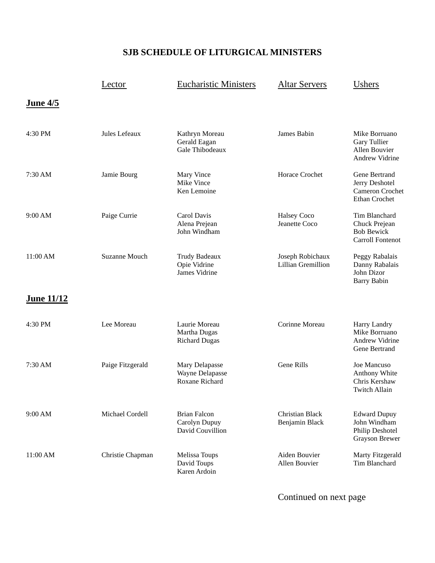## **SJB SCHEDULE OF LITURGICAL MINISTERS**

|                   | Lector               | <b>Eucharistic Ministers</b>                             | <b>Altar Servers</b>                   | Ushers                                                                         |
|-------------------|----------------------|----------------------------------------------------------|----------------------------------------|--------------------------------------------------------------------------------|
| June 4/5          |                      |                                                          |                                        |                                                                                |
| 4:30 PM           | Jules Lefeaux        | Kathryn Moreau<br>Gerald Eagan<br>Gale Thibodeaux        | James Babin                            | Mike Borruano<br>Gary Tullier<br>Allen Bouvier<br><b>Andrew Vidrine</b>        |
| 7:30 AM           | Jamie Bourg          | Mary Vince<br>Mike Vince<br>Ken Lemoine                  | Horace Crochet                         | Gene Bertrand<br>Jerry Deshotel<br>Cameron Crochet<br>Ethan Crochet            |
| 9:00 AM           | Paige Currie         | Carol Davis<br>Alena Prejean<br>John Windham             | <b>Halsey Coco</b><br>Jeanette Coco    | Tim Blanchard<br>Chuck Prejean<br><b>Bob Bewick</b><br><b>Carroll Fontenot</b> |
| 11:00 AM          | <b>Suzanne Mouch</b> | Trudy Badeaux<br>Opie Vidrine<br>James Vidrine           | Joseph Robichaux<br>Lillian Gremillion | Peggy Rabalais<br>Danny Rabalais<br>John Dizor<br><b>Barry Babin</b>           |
| <u>June 11/12</u> |                      |                                                          |                                        |                                                                                |
| 4:30 PM           | Lee Moreau           | Laurie Moreau<br>Martha Dugas<br><b>Richard Dugas</b>    | Corinne Moreau                         | Harry Landry<br>Mike Borruano<br>Andrew Vidrine<br>Gene Bertrand               |
| 7:30 AM           | Paige Fitzgerald     | Mary Delapasse<br>Wayne Delapasse<br>Roxane Richard      | Gene Rills                             | Joe Mancuso<br>Anthony White<br>Chris Kershaw<br><b>Twitch Allain</b>          |
| 9:00 AM           | Michael Cordell      | <b>Brian Falcon</b><br>Carolyn Dupuy<br>David Couvillion | Christian Black<br>Benjamin Black      | <b>Edward Dupuy</b><br>John Windham<br>Philip Deshotel<br>Grayson Brewer       |
| 11:00 AM          | Christie Chapman     | Melissa Toups<br>David Toups<br>Karen Ardoin             | Aiden Bouvier<br>Allen Bouvier         | Marty Fitzgerald<br>Tim Blanchard                                              |

Continued on next page